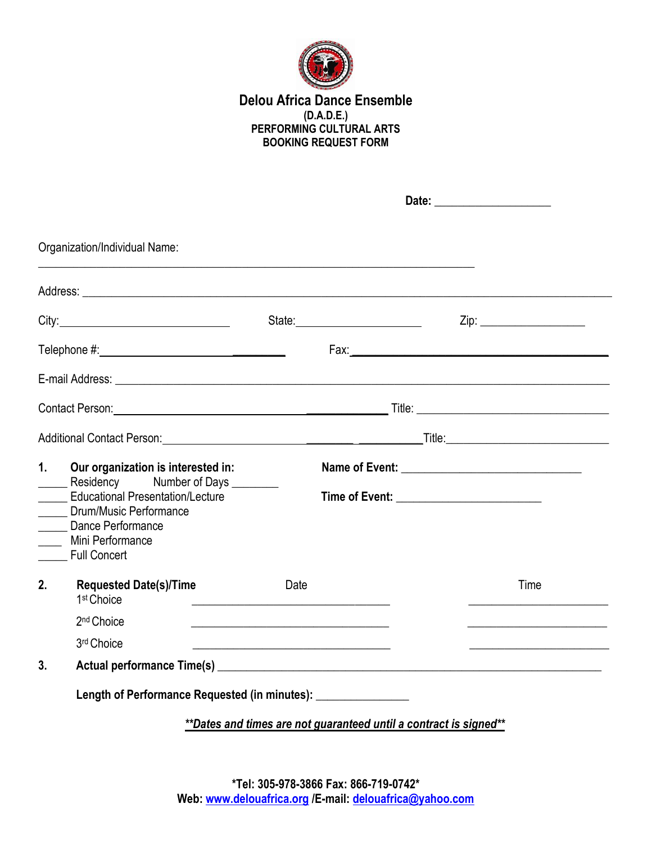

## **Delou Africa Dance Ensemble (D.A.D.E.) PERFORMING CULTURAL ARTS BOOKING REQUEST FORM**

|    | Organization/Individual Name:                                                                                                                                                                                                 |                                                                                                                      |                                                                                                                       |  |
|----|-------------------------------------------------------------------------------------------------------------------------------------------------------------------------------------------------------------------------------|----------------------------------------------------------------------------------------------------------------------|-----------------------------------------------------------------------------------------------------------------------|--|
|    |                                                                                                                                                                                                                               |                                                                                                                      |                                                                                                                       |  |
|    |                                                                                                                                                                                                                               |                                                                                                                      | Zip: ______________________                                                                                           |  |
|    |                                                                                                                                                                                                                               |                                                                                                                      |                                                                                                                       |  |
|    |                                                                                                                                                                                                                               |                                                                                                                      |                                                                                                                       |  |
|    |                                                                                                                                                                                                                               | Contact Person: <u>Contact Person:</u> Contact Person:                                                               |                                                                                                                       |  |
|    |                                                                                                                                                                                                                               |                                                                                                                      |                                                                                                                       |  |
| 1. | Our organization is interested in:<br>Residency Number of Days ________<br><b>Educational Presentation/Lecture</b><br>_____ Drum/Music Performance<br>_____ Dance Performance<br>____ Mini Performance<br><b>Eull Concert</b> |                                                                                                                      |                                                                                                                       |  |
| 2. | <b>Requested Date(s)/Time</b><br>1 <sup>st</sup> Choice                                                                                                                                                                       | Date<br><u> 1980 - Jan Stein, amerikansk politiker (d. 1980)</u>                                                     | Time                                                                                                                  |  |
|    | 2 <sup>nd</sup> Choice                                                                                                                                                                                                        |                                                                                                                      | <u> 1989 - Johann Barn, mars et al. (b. 1989)</u>                                                                     |  |
|    | 3rd Choice                                                                                                                                                                                                                    | <u> 1990 - Johann John Harry Harry Harry Harry Harry Harry Harry Harry Harry Harry Harry Harry Harry Harry Harry</u> | <u> 1989 - Johann Barn, mars ann an t-Amhain an t-Amhain an t-Amhain an t-Amhain an t-Amhain an t-Amhain an t-Amh</u> |  |